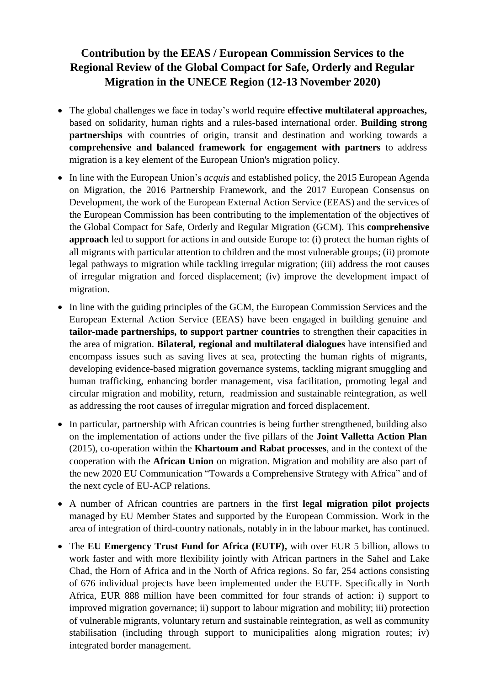## **Contribution by the EEAS / European Commission Services to the Regional Review of the Global Compact for Safe, Orderly and Regular Migration in the UNECE Region (12-13 November 2020)**

- The global challenges we face in today's world require **effective multilateral approaches,** based on solidarity, human rights and a rules-based international order. **Building strong partnerships** with countries of origin, transit and destination and working towards a **comprehensive and balanced framework for engagement with partners** to address migration is a key element of the European Union's migration policy.
- In line with the European Union's *acquis* and established policy, the 2015 European Agenda on Migration, the 2016 Partnership Framework, and the 2017 European Consensus on Development, the work of the European External Action Service (EEAS) and the services of the European Commission has been contributing to the implementation of the objectives of the Global Compact for Safe, Orderly and Regular Migration (GCM). This **comprehensive approach** led to support for actions in and outside Europe to: (i) protect the human rights of all migrants with particular attention to children and the most vulnerable groups; (ii) promote legal pathways to migration while tackling irregular migration; (iii) address the root causes of irregular migration and forced displacement; (iv) improve the development impact of migration.
- In line with the guiding principles of the GCM, the European Commission Services and the European External Action Service (EEAS) have been engaged in building genuine and **tailor-made partnerships, to support partner countries** to strengthen their capacities in the area of migration. **Bilateral, regional and multilateral dialogues** have intensified and encompass issues such as saving lives at sea, protecting the human rights of migrants, developing evidence-based migration governance systems, tackling migrant smuggling and human trafficking, enhancing border management, visa facilitation, promoting legal and circular migration and mobility, return, readmission and sustainable reintegration, as well as addressing the root causes of irregular migration and forced displacement.
- In particular, partnership with African countries is being further strengthened, building also on the implementation of actions under the five pillars of the **Joint Valletta Action Plan**  (2015), co-operation within the **Khartoum and Rabat processes**, and in the context of the cooperation with the **African Union** on migration. Migration and mobility are also part of the new 2020 EU Communication "Towards a Comprehensive Strategy with Africa" and of the next cycle of EU-ACP relations.
- A number of African countries are partners in the first **legal migration pilot projects** managed by EU Member States and supported by the European Commission. Work in the area of integration of third-country nationals, notably in in the labour market, has continued.
- The **EU Emergency Trust Fund for Africa (EUTF),** with over EUR 5 billion, allows to work faster and with more flexibility jointly with African partners in the Sahel and Lake Chad, the Horn of Africa and in the North of Africa regions. So far, 254 actions consisting of 676 individual projects have been implemented under the EUTF. Specifically in North Africa, EUR 888 million have been committed for four strands of action: i) support to improved migration governance; ii) support to labour migration and mobility; iii) protection of vulnerable migrants, voluntary return and sustainable reintegration, as well as community stabilisation (including through support to municipalities along migration routes; iv) integrated border management.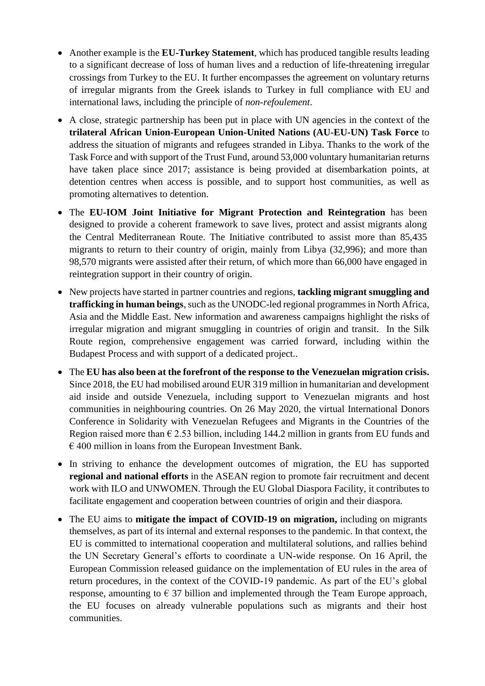- Another example is the **EU-Turkey Statement**, which has produced tangible results leading to a significant decrease of loss of human lives and a reduction of life-threatening irregular crossings from Turkey to the EU. It further encompasses the agreement on voluntary returns of irregular migrants from the Greek islands to Turkey in full compliance with EU and international laws, including the principle of *non-refoulement*.
- A close, strategic partnership has been put in place with UN agencies in the context of the **trilateral African Union-European Union-United Nations (AU-EU-UN) Task Force** to address the situation of migrants and refugees stranded in Libya. Thanks to the work of the Task Force and with support of the Trust Fund, around 53,000 voluntary humanitarian returns have taken place since 2017; assistance is being provided at disembarkation points, at detention centres when access is possible, and to support host communities, as well as promoting alternatives to detention.
- The **EU-IOM Joint Initiative for Migrant Protection and Reintegration** has been designed to provide a coherent framework to save lives, protect and assist migrants along the Central Mediterranean Route. The Initiative contributed to assist more than 85,435 migrants to return to their country of origin, mainly from Libya (32,996); and more than 98,570 migrants were assisted after their return, of which more than 66,000 have engaged in reintegration support in their country of origin.
- New projects have started in partner countries and regions, **tackling migrant smuggling and trafficking in human beings**, such as the UNODC-led regional programmes in North Africa, Asia and the Middle East. New information and awareness campaigns highlight the risks of irregular migration and migrant smuggling in countries of origin and transit. In the Silk Route region, comprehensive engagement was carried forward, including within the Budapest Process and with support of a dedicated project..
- The **EU has also been at the forefront of the response to the Venezuelan migration crisis.**  Since 2018, the EU had mobilised around EUR 319 million in humanitarian and development aid inside and outside Venezuela, including support to Venezuelan migrants and host communities in neighbouring countries. On 26 May 2020, the virtual International Donors Conference in Solidarity with Venezuelan Refugees and Migrants in the Countries of the Region raised more than  $\epsilon$  2.53 billion, including 144.2 million in grants from EU funds and  $\epsilon$  400 million in loans from the European Investment Bank.
- In striving to enhance the development outcomes of migration, the EU has supported **regional and national efforts** in the ASEAN region to promote fair recruitment and decent work with ILO and UNWOMEN. Through the EU Global Diaspora Facility, it contributes to facilitate engagement and cooperation between countries of origin and their diaspora.
- The EU aims to **mitigate the impact of COVID-19 on migration,** including on migrants themselves, as part of its internal and external responses to the pandemic. In that context, the EU is committed to international cooperation and multilateral solutions, and rallies behind the UN Secretary General's efforts to coordinate a UN-wide response. On 16 April, the European Commission released guidance on the implementation of EU rules in the area of return procedures, in the context of the COVID-19 pandemic. As part of the EU's global response, amounting to  $\epsilon$  37 billion and implemented through the Team Europe approach, the EU focuses on already vulnerable populations such as migrants and their host communities.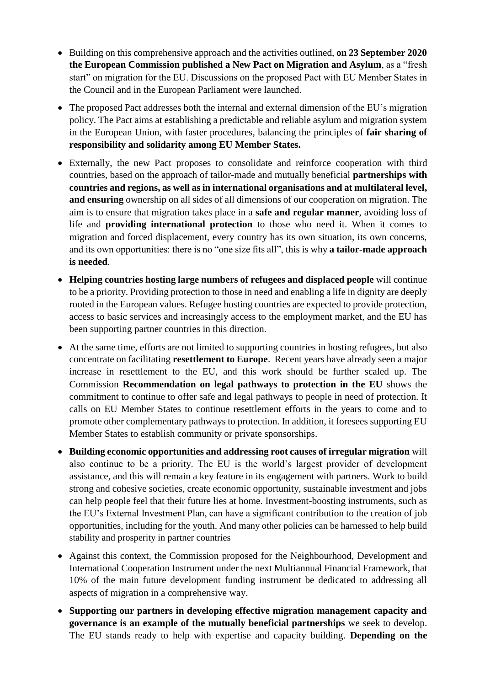- Building on this comprehensive approach and the activities outlined, **on 23 September 2020 the European Commission published a New Pact on Migration and Asylum**, as a "fresh start" on migration for the EU. Discussions on the proposed Pact with EU Member States in the Council and in the European Parliament were launched.
- The proposed Pact addresses both the internal and external dimension of the EU's migration policy. The Pact aims at establishing a predictable and reliable asylum and migration system in the European Union, with faster procedures, balancing the principles of **fair sharing of responsibility and solidarity among EU Member States.**
- Externally, the new Pact proposes to consolidate and reinforce cooperation with third countries, based on the approach of tailor-made and mutually beneficial **partnerships with countries and regions, as well as in international organisations and at multilateral level, and ensuring** ownership on all sides of all dimensions of our cooperation on migration. The aim is to ensure that migration takes place in a **safe and regular manner**, avoiding loss of life and **providing international protection** to those who need it. When it comes to migration and forced displacement, every country has its own situation, its own concerns, and its own opportunities: there is no "one size fits all", this is why **a tailor-made approach is needed**.
- **Helping countries hosting large numbers of refugees and displaced people** will continue to be a priority. Providing protection to those in need and enabling a life in dignity are deeply rooted in the European values. Refugee hosting countries are expected to provide protection, access to basic services and increasingly access to the employment market, and the EU has been supporting partner countries in this direction.
- At the same time, efforts are not limited to supporting countries in hosting refugees, but also concentrate on facilitating **resettlement to Europe**. Recent years have already seen a major increase in resettlement to the EU, and this work should be further scaled up. The Commission **Recommendation on legal pathways to protection in the EU** shows the commitment to continue to offer safe and legal pathways to people in need of protection. It calls on EU Member States to continue resettlement efforts in the years to come and to promote other complementary pathways to protection. In addition, it foresees supporting EU Member States to establish community or private sponsorships.
- **Building economic opportunities and addressing root causes of irregular migration** will also continue to be a priority. The EU is the world's largest provider of development assistance, and this will remain a key feature in its engagement with partners. Work to build strong and cohesive societies, create economic opportunity, sustainable investment and jobs can help people feel that their future lies at home. Investment-boosting instruments, such as the EU's External Investment Plan, can have a significant contribution to the creation of job opportunities, including for the youth. And many other policies can be harnessed to help build stability and prosperity in partner countries
- Against this context, the Commission proposed for the Neighbourhood, Development and International Cooperation Instrument under the next Multiannual Financial Framework, that 10% of the main future development funding instrument be dedicated to addressing all aspects of migration in a comprehensive way.
- **Supporting our partners in developing effective migration management capacity and governance is an example of the mutually beneficial partnerships** we seek to develop. The EU stands ready to help with expertise and capacity building. **Depending on the**